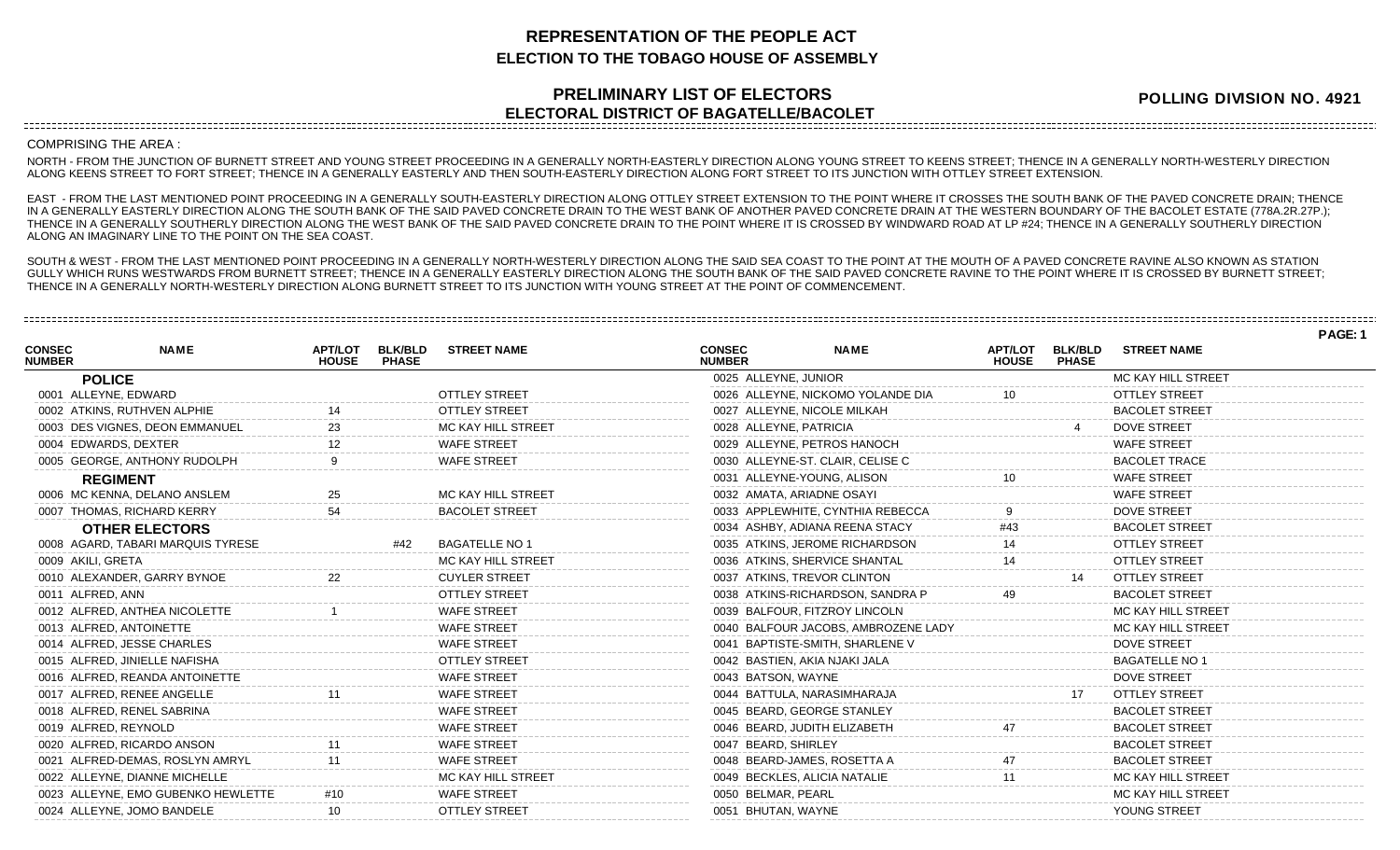## **REPRESENTATION OF THE PEOPLE ACT ELECTION TO THE TOBAGO HOUSE OF ASSEMBLY**

## **PRELIMINARY LIST OF ELECTORS ELECTORAL DISTRICT OF BAGATELLE/BACOLET**

**POLLING DIVISION NO. 4921**

COMPRISING THE AREA :

NORTH - FROM THE JUNCTION OF BURNETT STREET AND YOUNG STREET PROCEEDING IN A GENERALLY NORTH-EASTERLY DIRECTION ALONG YOUNG STREET TO KEENS STREET; THENCE IN A GENERALLY NORTH-WESTERLY DIRECTION ALONG KEENS STREET TO FORT STREET; THENCE IN A GENERALLY EASTERLY AND THEN SOUTH-EASTERLY DIRECTION ALONG FORT STREET TO ITS JUNCTION WITH OTTLEY STREET EXTENSION.

EAST - FROM THE LAST MENTIONED POINT PROCEEDING IN A GENERALLY SOUTH-EASTERLY DIRECTION ALONG OTTLEY STREET EXTENSION TO THE POINT WHERE IT CROSSES THE SOUTH BANK OF THE PAVED CONCRETE DRAIN; THENCE IN A GENERALLY EASTERLY DIRECTION ALONG THE SOUTH BANK OF THE SAID PAVED CONCRETE DRAIN TO THE WEST BANK OF ANOTHER PAVED CONCRETE DRAIN AT THE WESTERN BOUNDARY OF THE BACOLET ESTATE (778A.2R.27P.); THENCE IN A GENERALLY SOUTHERLY DIRECTION ALONG THE WEST BANK OF THE SAID PAVED CONCRETE DRAIN TO THE POINT WHERE IT IS CROSSED BY WINDWARD ROAD AT LP #24; THENCE IN A GENERALLY SOUTHERLY DIRECTION ALONG AN IMAGINARY LINE TO THE POINT ON THE SEA COAST.

SOUTH & WEST - FROM THE LAST MENTIONED POINT PROCEEDING IN A GENERALLY NORTH-WESTERLY DIRECTION ALONG THE SAID SEA COAST TO THE POINT AT THE MOUTH OF A PAVED CONCRETE RAVINE ALSO KNOWN AS STATION GULLY WHICH RUNS WESTWARDS FROM BURNETT STREET; THENCE IN A GENERALLY EASTERLY DIRECTION ALONG THE SOUTH BANK OF THE SAID PAVED CONCRETE RAVINE TO THE POINT WHERE IT IS CROSSED BY BURNETT STREET; THENCE IN A GENERALLY NORTH-WESTERLY DIRECTION ALONG BURNETT STREET TO ITS JUNCTION WITH YOUNG STREET AT THE POINT OF COMMENCEMENT.

|                                |                                    |                                |                                |                       |                                |                                     |                                |                                |                       | PAGE: 1 |  |
|--------------------------------|------------------------------------|--------------------------------|--------------------------------|-----------------------|--------------------------------|-------------------------------------|--------------------------------|--------------------------------|-----------------------|---------|--|
| <b>CONSEC</b><br><b>NUMBER</b> | <b>NAME</b>                        | <b>APT/LOT</b><br><b>HOUSE</b> | <b>BLK/BLD</b><br><b>PHASE</b> | <b>STREET NAME</b>    | <b>CONSEC</b><br><b>NUMBER</b> | <b>NAME</b>                         | <b>APT/LOT</b><br><b>HOUSE</b> | <b>BLK/BLD</b><br><b>PHASE</b> | <b>STREET NAME</b>    |         |  |
|                                | <b>POLICE</b>                      |                                |                                |                       | 0025 ALLEYNE, JUNIOR           |                                     |                                |                                | MC KAY HILL STREET    |         |  |
|                                | 0001 ALLEYNE, EDWARD               |                                |                                | <b>OTTLEY STREET</b>  |                                | 0026 ALLEYNE, NICKOMO YOLANDE DIA   |                                |                                | <b>OTTLEY STREET</b>  |         |  |
|                                | 0002 ATKINS, RUTHVEN ALPHIE        |                                |                                | <b>OTTLEY STREET</b>  | 0027 ALLEYNE, NICOLE MILKAH    |                                     |                                |                                | <b>BACOLET STREET</b> |         |  |
|                                | 0003 DES VIGNES, DEON EMMANUEL     | 23                             |                                | MC KAY HILL STREET    | 0028 ALLEYNE, PATRICIA         |                                     |                                |                                | <b>DOVE STREET</b>    |         |  |
|                                | 0004 EDWARDS, DEXTER               |                                |                                | <b>WAFE STREET</b>    |                                | 0029 ALLEYNE, PETROS HANOCH         |                                |                                | <b>WAFE STREET</b>    |         |  |
|                                | 0005 GEORGE, ANTHONY RUDOLPH       |                                |                                | <b>WAFE STREET</b>    |                                | 0030 ALLEYNE-ST. CLAIR, CELISE C    |                                |                                | <b>BACOLET TRACE</b>  |         |  |
|                                | <b>REGIMENT</b>                    |                                |                                |                       | 0031 ALLEYNE-YOUNG, ALISON     |                                     |                                |                                | <b>WAFE STREET</b>    |         |  |
|                                | 0006 MC KENNA, DELANO ANSLEM       | 25                             |                                | MC KAY HILL STREET    | 0032 AMATA, ARIADNE OSAYI      |                                     |                                |                                | <b>WAFE STREET</b>    |         |  |
|                                | 0007 THOMAS, RICHARD KERRY         |                                |                                | <b>BACOLET STREET</b> |                                | 0033 APPLEWHITE, CYNTHIA REBECCA    |                                |                                | <b>DOVE STREET</b>    |         |  |
|                                | <b>OTHER ELECTORS</b>              |                                |                                |                       |                                | 0034 ASHBY, ADIANA REENA STACY      | #43                            |                                | <b>BACOLET STREET</b> |         |  |
|                                | 0008 AGARD, TABARI MARQUIS TYRESE  |                                | #42                            | <b>BAGATELLE NO 1</b> |                                | 0035 ATKINS, JEROME RICHARDSON      |                                |                                | <b>OTTLEY STREET</b>  |         |  |
|                                | 0009 AKILI, GRETA                  |                                |                                | MC KAY HILL STREET    |                                | 0036 ATKINS, SHERVICE SHANTAL       |                                |                                | <b>OTTLEY STREET</b>  |         |  |
|                                | 0010 ALEXANDER, GARRY BYNOE        | 22                             |                                | <b>CUYLER STREET</b>  | 0037 ATKINS, TREVOR CLINTON    |                                     |                                | 14                             | <b>OTTLEY STREET</b>  |         |  |
|                                | 0011 ALFRED, ANN                   |                                |                                | <b>OTTLEY STREET</b>  |                                | 0038 ATKINS-RICHARDSON, SANDRA P    |                                |                                | <b>BACOLET STREET</b> |         |  |
|                                | 0012 ALFRED, ANTHEA NICOLETTE      |                                |                                | <b>WAFE STREET</b>    |                                | 0039 BALFOUR, FITZROY LINCOLN       |                                |                                | MC KAY HILL STREET    |         |  |
|                                | 0013 ALFRED, ANTOINETTE            |                                |                                | <b>WAFE STREET</b>    |                                | 0040 BALFOUR JACOBS, AMBROZENE LADY |                                |                                | MC KAY HILL STREET    |         |  |
|                                | 0014 ALFRED, JESSE CHARLES         |                                |                                | <b>WAFE STREET</b>    |                                | 0041 BAPTISTE-SMITH, SHARLENE V     |                                |                                | <b>DOVE STREET</b>    |         |  |
|                                | 0015 ALFRED. JINIELLE NAFISHA      |                                |                                | <b>OTTLEY STREET</b>  | 0042 BASTIEN, AKIA NJAKI JALA  |                                     |                                |                                | <b>BAGATELLE NO 1</b> |         |  |
|                                | 0016 ALFRED, REANDA ANTOINETTE     |                                |                                | <b>WAFE STREET</b>    | 0043 BATSON, WAYNE             |                                     |                                |                                | <b>DOVE STREET</b>    |         |  |
|                                | 0017 ALFRED, RENEE ANGELLE         |                                |                                | <b>WAFE STREET</b>    |                                | 0044 BATTULA, NARASIMHARAJA         |                                |                                | <b>OTTLEY STREET</b>  |         |  |
|                                | 0018 ALFRED, RENEL SABRINA         |                                |                                | <b>WAFE STREET</b>    |                                | 0045 BEARD, GEORGE STANLEY          |                                |                                | <b>BACOLET STREET</b> |         |  |
|                                | 0019 ALFRED, REYNOLD               |                                |                                | <b>WAFE STREET</b>    |                                | 0046 BEARD, JUDITH ELIZABETH        |                                |                                | <b>BACOLET STREET</b> |         |  |
|                                | 0020 ALFRED, RICARDO ANSON         |                                |                                | <b>WAFE STREET</b>    | 0047 BEARD, SHIRLEY            |                                     |                                |                                | <b>BACOLET STREET</b> |         |  |
|                                | 0021 ALFRED-DEMAS, ROSLYN AMRYL    |                                |                                | <b>WAFE STREET</b>    |                                | 0048 BEARD-JAMES, ROSETTA A         |                                |                                | <b>BACOLET STREET</b> |         |  |
|                                | 0022 ALLEYNE, DIANNE MICHELLE      |                                |                                | MC KAY HILL STREET    | 0049 BECKLES, ALICIA NATALIE   |                                     |                                |                                | MC KAY HILL STREET    |         |  |
|                                | 0023 ALLEYNE, EMO GUBENKO HEWLETTE | #10                            |                                | <b>WAFE STREET</b>    | 0050 BELMAR, PEARL             |                                     |                                |                                | MC KAY HILL STREET    |         |  |
|                                | 0024 ALLEYNE, JOMO BANDELE         |                                |                                | <b>OTTLEY STREET</b>  | 0051 BHUTAN, WAYNE             |                                     |                                |                                | YOUNG STREET          |         |  |
|                                |                                    |                                |                                |                       |                                |                                     |                                |                                |                       |         |  |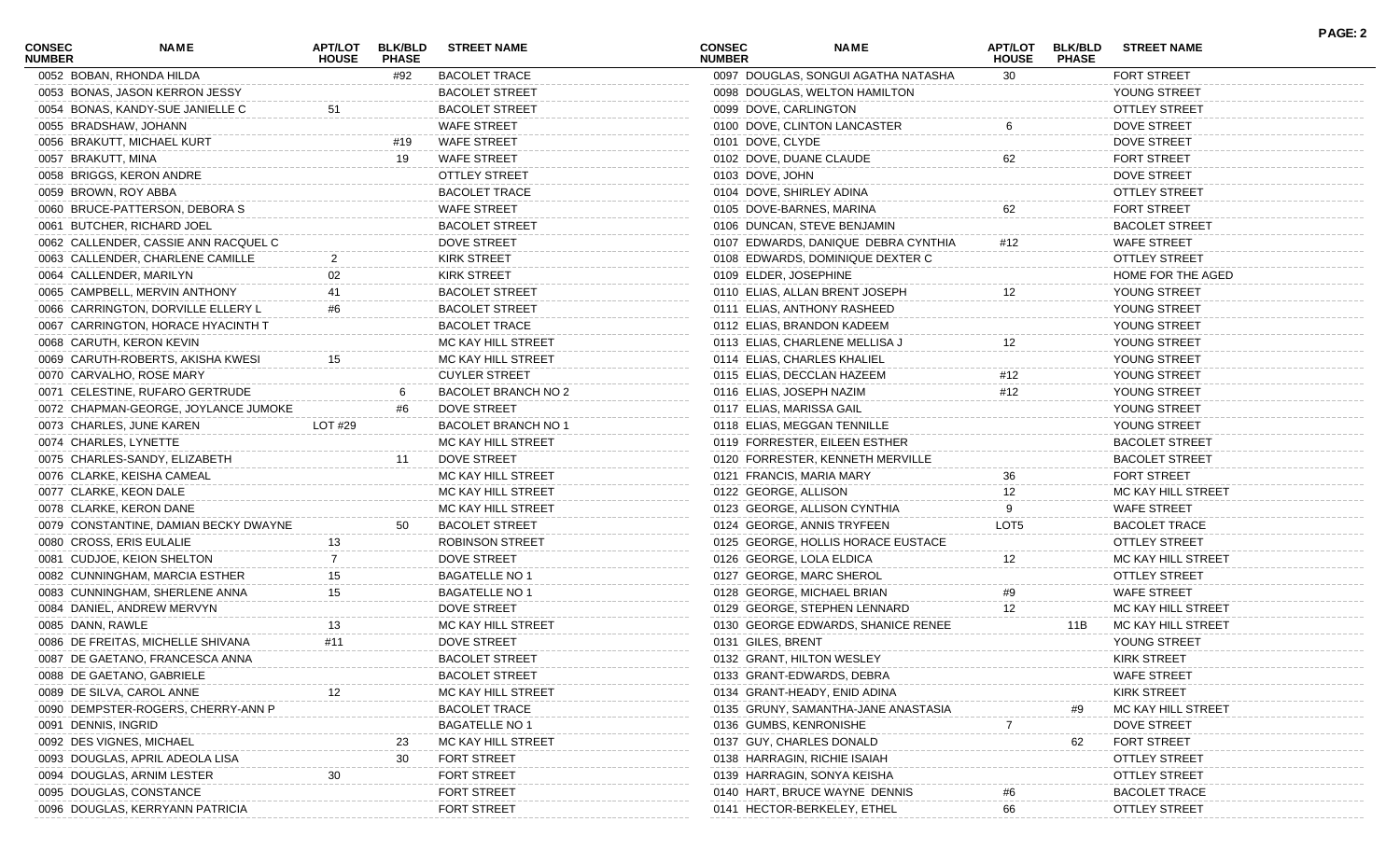| <b>CONSEC</b><br><b>NUMBER</b> | NAME                                                        | <b>APT/LOT</b><br><b>HOUSE</b> | <b>BLK/BLD</b><br><b>PHASE</b> | <b>STREET NAME</b>         | <b>CONSEC</b><br><b>NUMBER</b> | NAME                                | <b>APT/LOT</b><br><b>HOUSE</b> | <b>BLK/BLD</b><br><b>PHASE</b> | <b>STREET NAME</b>    | <b>PAGE: 2</b> |
|--------------------------------|-------------------------------------------------------------|--------------------------------|--------------------------------|----------------------------|--------------------------------|-------------------------------------|--------------------------------|--------------------------------|-----------------------|----------------|
|                                | 0052 BOBAN, RHONDA HILDA                                    |                                | #92                            | <b>BACOLET TRACE</b>       |                                | 0097 DOUGLAS, SONGUI AGATHA NATASHA | 30                             |                                | FORT STREET           |                |
|                                | 0053 BONAS, JASON KERRON JESSY                              |                                |                                | <b>BACOLET STREET</b>      |                                | 0098 DOUGLAS, WELTON HAMILTON       |                                |                                | YOUNG STREET          |                |
|                                | 0054 BONAS, KANDY-SUE JANIELLE C                            | 51                             |                                | <b>BACOLET STREET</b>      |                                | 0099 DOVE, CARLINGTON               |                                |                                | <b>OTTLEY STREET</b>  |                |
|                                | 0055 BRADSHAW, JOHANN                                       |                                |                                | <b>WAFE STREET</b>         |                                | 0100 DOVE, CLINTON LANCASTER        |                                |                                | DOVE STREET           |                |
|                                | 0056 BRAKUTT, MICHAEL KURT                                  |                                | #19                            | <b>WAFE STREET</b>         |                                | 0101 DOVE, CLYDE                    |                                |                                | DOVE STREET           |                |
| 0057 BRAKUTT, MINA             |                                                             |                                | 19                             | <b>WAFE STREET</b>         |                                | 0102 DOVE, DUANE CLAUDE             |                                |                                | <b>FORT STREET</b>    |                |
|                                | 0058 BRIGGS, KERON ANDRE                                    |                                |                                | <b>OTTLEY STREET</b>       |                                | 0103 DOVE, JOHN                     |                                |                                | DOVE STREET           |                |
|                                | 0059 BROWN, ROY ABBA                                        |                                |                                | <b>BACOLET TRACE</b>       |                                | 0104 DOVE, SHIRLEY ADINA            |                                |                                | <b>OTTLEY STREET</b>  |                |
|                                | 0060 BRUCE-PATTERSON, DEBORA S                              |                                |                                | <b>WAFE STREET</b>         |                                | 0105 DOVE-BARNES, MARINA            | 62                             |                                | <b>FORT STREET</b>    |                |
|                                | 0061 BUTCHER, RICHARD JOEL                                  |                                |                                | <b>BACOLET STREET</b>      |                                | 0106 DUNCAN, STEVE BENJAMIN         |                                |                                | <b>BACOLET STREET</b> |                |
|                                | 0062 CALLENDER, CASSIE ANN RACQUEL C                        |                                |                                | <b>DOVE STREET</b>         |                                | 0107 EDWARDS, DANIQUE DEBRA CYNTHIA | #12                            |                                | <b>WAFE STREET</b>    |                |
|                                | 0063 CALLENDER, CHARLENE CAMILLE                            |                                |                                | <b>KIRK STREET</b>         |                                | 0108 EDWARDS, DOMINIQUE DEXTER C    |                                |                                | <b>OTTLEY STREET</b>  |                |
|                                | 0064 CALLENDER, MARILYN                                     |                                |                                | <b>KIRK STREET</b>         |                                | 0109 ELDER, JOSEPHINE               |                                |                                | HOME FOR THE AGED     |                |
|                                | 0065 CAMPBELL, MERVIN ANTHONY                               |                                |                                | <b>BACOLET STREET</b>      |                                | 0110 ELIAS, ALLAN BRENT JOSEPH      |                                |                                | YOUNG STREET          |                |
|                                | 0066 CARRINGTON, DORVILLE ELLERY L                          | #6                             |                                | <b>BACOLET STREET</b>      |                                | 0111 ELIAS, ANTHONY RASHEED         |                                |                                | YOUNG STREET          |                |
|                                | 0067 CARRINGTON, HORACE HYACINTH T                          |                                |                                | <b>BACOLET TRACE</b>       |                                | 0112 ELIAS, BRANDON KADEEM          |                                |                                | YOUNG STREET          |                |
|                                | 0068 CARUTH, KERON KEVIN                                    |                                |                                | MC KAY HILL STREET         |                                | 0113 ELIAS, CHARLENE MELLISA J      |                                |                                | YOUNG STREET          |                |
|                                | 0069 CARUTH-ROBERTS, AKISHA KWESI                           | 15                             |                                | MC KAY HILL STREET         |                                | 0114 ELIAS, CHARLES KHALIEL         |                                |                                | YOUNG STREET          |                |
|                                | 0070 CARVALHO, ROSE MARY                                    |                                |                                | <b>CUYLER STREET</b>       |                                | 0115 ELIAS, DECCLAN HAZEEM          | #12                            |                                | YOUNG STREET          |                |
|                                | 0071 CELESTINE, RUFARO GERTRUDE                             |                                | -6                             | <b>BACOLET BRANCH NO 2</b> |                                | 0116 ELIAS, JOSEPH NAZIM            | #12                            |                                | YOUNG STREET          |                |
|                                | 0072 CHAPMAN-GEORGE, JOYLANCE JUMOKE                        |                                |                                | <b>DOVE STREET</b>         |                                | 0117 ELIAS, MARISSA GAIL            |                                |                                | YOUNG STREET          |                |
|                                | 0073 CHARLES, JUNE KAREN                                    | LOT #29                        |                                | BACOLET BRANCH NO 1        |                                | 0118 ELIAS, MEGGAN TENNILLE         |                                |                                | YOUNG STREET          |                |
|                                | 0074 CHARLES, LYNETTE                                       |                                |                                | MC KAY HILL STREET         |                                | 0119 FORRESTER, EILEEN ESTHER       |                                |                                | <b>BACOLET STREET</b> |                |
|                                |                                                             |                                | 11                             | <b>DOVE STREET</b>         |                                | 0120 FORRESTER, KENNETH MERVILLE    |                                |                                | <b>BACOLET STREET</b> |                |
|                                | 0075 CHARLES-SANDY, ELIZABETH<br>0076 CLARKE, KEISHA CAMEAL |                                |                                | MC KAY HILL STREET         |                                |                                     |                                |                                | <b>FORT STREET</b>    |                |
|                                |                                                             |                                |                                |                            |                                | 0121 FRANCIS, MARIA MARY            | 36                             |                                |                       |                |
|                                | 0077 CLARKE, KEON DALE                                      |                                |                                | MC KAY HILL STREET         |                                | 0122 GEORGE, ALLISON                | 12                             |                                | MC KAY HILL STREET    |                |
|                                | 0078 CLARKE, KERON DANE                                     |                                |                                | MC KAY HILL STREET         |                                | 0123 GEORGE, ALLISON CYNTHIA        |                                |                                | <b>WAFE STREET</b>    |                |
|                                | 0079 CONSTANTINE, DAMIAN BECKY DWAYNE                       |                                | 50                             | <b>BACOLET STREET</b>      |                                | 0124 GEORGE, ANNIS TRYFEEN          | LOT5                           |                                | <b>BACOLET TRACE</b>  |                |
|                                | 0080 CROSS, ERIS EULALIE                                    | 13                             |                                | <b>ROBINSON STREET</b>     |                                | 0125 GEORGE, HOLLIS HORACE EUSTACE  |                                |                                | <b>OTTLEY STREET</b>  |                |
|                                | 0081 CUDJOE, KEION SHELTON                                  |                                |                                | <b>DOVE STREET</b>         |                                | 0126 GEORGE, LOLA ELDICA            | 12                             |                                | MC KAY HILL STREET    |                |
|                                | 0082 CUNNINGHAM, MARCIA ESTHER                              | 15                             |                                | <b>BAGATELLE NO 1</b>      |                                | 0127 GEORGE, MARC SHEROL            |                                |                                | <b>OTTLEY STREET</b>  |                |
|                                | 0083 CUNNINGHAM, SHERLENE ANNA                              | 15                             |                                | <b>BAGATELLE NO 1</b>      |                                | 0128 GEORGE, MICHAEL BRIAN          | #9                             |                                | <b>WAFE STREET</b>    |                |
|                                | 0084 DANIEL, ANDREW MERVYN                                  |                                |                                | <b>DOVE STREET</b>         |                                | 0129 GEORGE, STEPHEN LENNARD        | 12                             |                                | MC KAY HILL STREET    |                |
| 0085 DANN, RAWLE               |                                                             | 13                             |                                | MC KAY HILL STREET         |                                | 0130 GEORGE EDWARDS, SHANICE RENEE  |                                | 11B                            | MC KAY HILL STREET    |                |
|                                | 0086 DE FREITAS, MICHELLE SHIVANA                           | #11                            |                                | <b>DOVE STREET</b>         |                                | 0131 GILES, BRENT                   |                                |                                | YOUNG STREET          |                |
|                                | 0087 DE GAETANO, FRANCESCA ANNA                             |                                |                                | <b>BACOLET STREET</b>      |                                | 0132 GRANT, HILTON WESLEY           |                                |                                | <b>KIRK STREET</b>    |                |
|                                | 0088 DE GAETANO, GABRIELE                                   |                                |                                | <b>BACOLET STREET</b>      |                                | 0133 GRANT-EDWARDS, DEBRA           |                                |                                | <b>WAFE STREET</b>    |                |
|                                | 0089 DE SILVA, CAROL ANNE                                   |                                |                                | MC KAY HILL STREET         |                                | 0134 GRANT-HEADY, ENID ADINA        |                                |                                | <b>KIRK STREET</b>    |                |
|                                | 0090 DEMPSTER-ROGERS, CHERRY-ANN P                          |                                |                                | <b>BACOLET TRACE</b>       |                                | 0135 GRUNY, SAMANTHA-JANE ANASTASIA |                                | #9                             | MC KAY HILL STREET    |                |
| 0091 DENNIS, INGRID            |                                                             |                                |                                | <b>BAGATELLE NO 1</b>      |                                | 0136 GUMBS, KENRONISHE              |                                |                                | DOVE STREET           |                |
|                                | 0092 DES VIGNES, MICHAEL                                    |                                | 23                             | MC KAY HILL STREET         |                                | 0137 GUY, CHARLES DONALD            |                                | 62                             | <b>FORT STREET</b>    |                |
|                                | 0093 DOUGLAS, APRIL ADEOLA LISA                             |                                | 30                             | <b>FORT STREET</b>         |                                | 0138 HARRAGIN, RICHIE ISAIAH        |                                |                                | <b>OTTLEY STREET</b>  |                |
|                                | 0094 DOUGLAS, ARNIM LESTER                                  |                                |                                | <b>FORT STREET</b>         |                                | 0139 HARRAGIN, SONYA KEISHA         |                                |                                | <b>OTTLEY STREET</b>  |                |
|                                | 0095 DOUGLAS, CONSTANCE                                     |                                |                                | <b>FORT STREET</b>         |                                | 0140 HART, BRUCE WAYNE DENNIS       |                                |                                | <b>BACOLET TRACE</b>  |                |
|                                | 0096 DOUGLAS, KERRYANN PATRICIA                             |                                |                                | FORT STREET                |                                | 0141 HECTOR-BERKELEY, ETHEL         | 66                             |                                | <b>OTTLEY STREET</b>  |                |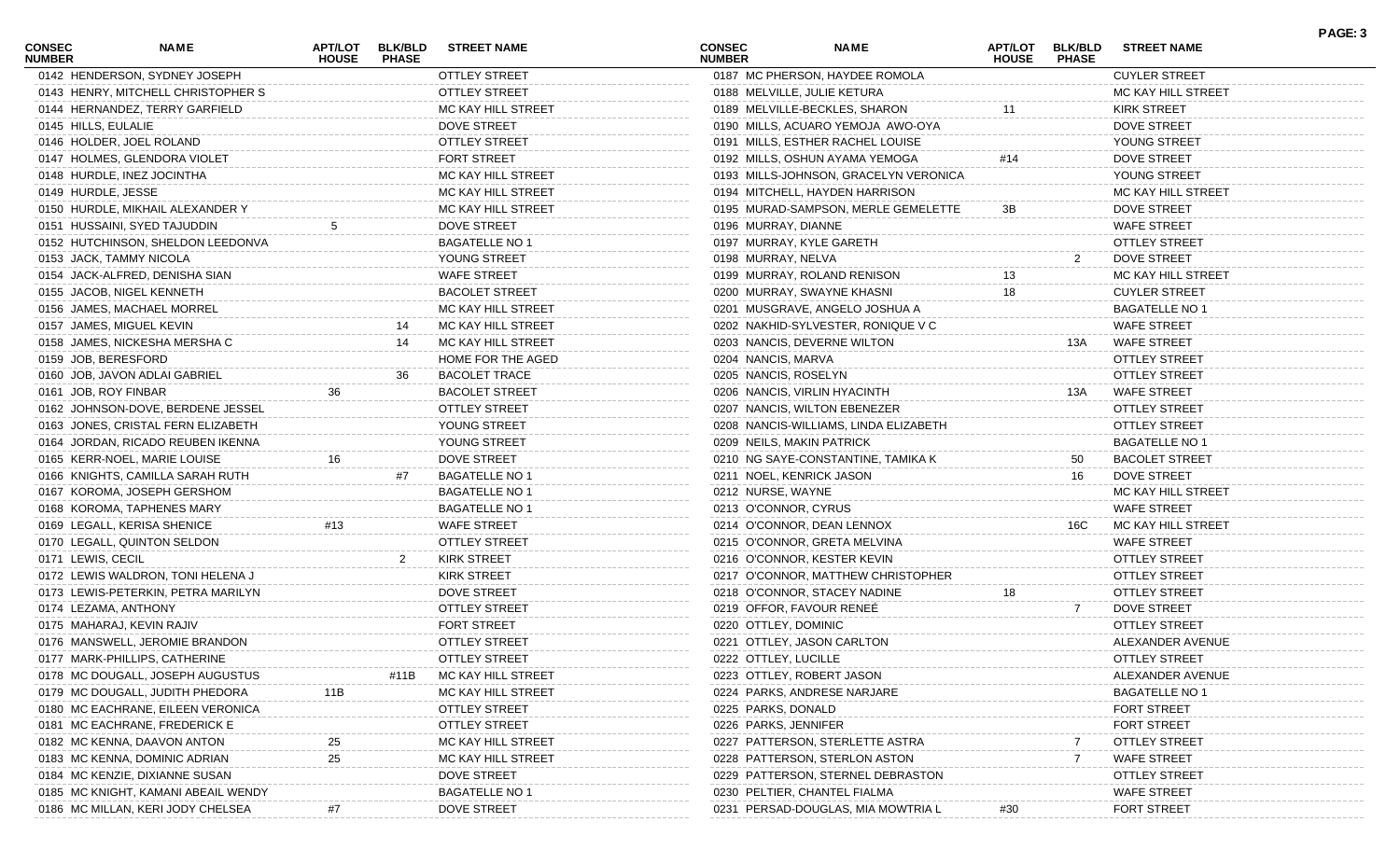| <b>CONSEC</b><br><b>NUMBER</b> | NAME                                | <b>APT/LOT</b><br><b>HOUSE</b> | <b>BLK/BLD</b><br><b>PHASE</b> | <b>STREET NAME</b>    | <b>CONSEC</b><br><b>NUMBER</b> |                              | <b>NAME</b>                           | <b>APT/LOT</b><br><b>HOUSE</b> | <b>BLK/BLD</b><br><b>PHASE</b> | <b>STREET NAME</b>    | PAGE: 3 |
|--------------------------------|-------------------------------------|--------------------------------|--------------------------------|-----------------------|--------------------------------|------------------------------|---------------------------------------|--------------------------------|--------------------------------|-----------------------|---------|
|                                | 0142 HENDERSON, SYDNEY JOSEPH       |                                |                                | OTTLEY STREET         |                                |                              | 0187 MC PHERSON, HAYDEE ROMOLA        |                                |                                | <b>CUYLER STREET</b>  |         |
|                                | 0143 HENRY, MITCHELL CHRISTOPHER S  |                                |                                | <b>OTTLEY STREET</b>  |                                | 0188 MELVILLE, JULIE KETURA  |                                       |                                |                                | MC KAY HILL STREET    |         |
|                                | 0144 HERNANDEZ, TERRY GARFIELD      |                                |                                | MC KAY HILL STREET    |                                |                              | 0189 MELVILLE-BECKLES, SHARON         |                                |                                | <b>KIRK STREET</b>    |         |
| 0145 HILLS, EULALIE            |                                     |                                |                                | <b>DOVE STREET</b>    |                                |                              | 0190 MILLS, ACUARO YEMOJA AWO-OYA     |                                |                                | DOVE STREET           |         |
|                                | 0146 HOLDER, JOEL ROLAND            |                                |                                | <b>OTTLEY STREET</b>  |                                |                              | 0191 MILLS, ESTHER RACHEL LOUISE      |                                |                                | YOUNG STREET          |         |
|                                | 0147 HOLMES, GLENDORA VIOLET        |                                |                                | <b>FORT STREET</b>    |                                |                              | 0192 MILLS, OSHUN AYAMA YEMOGA        | #14                            |                                | DOVE STREET           |         |
|                                | 0148 HURDLE, INEZ JOCINTHA          |                                |                                | MC KAY HILL STREET    |                                |                              | 0193 MILLS-JOHNSON, GRACELYN VERONICA |                                |                                | YOUNG STREET          |         |
| 0149 HURDLE, JESSE             |                                     |                                |                                | MC KAY HILL STREET    |                                |                              | 0194 MITCHELL, HAYDEN HARRISON        |                                |                                | MC KAY HILL STREET    |         |
|                                | 0150 HURDLE, MIKHAIL ALEXANDER Y    |                                |                                | MC KAY HILL STREET    |                                |                              | 0195 MURAD-SAMPSON, MERLE GEMELETTE   | 3В                             |                                | DOVE STREET           |         |
|                                | 0151 HUSSAINI, SYED TAJUDDIN        |                                |                                | DOVE STREET           |                                | 0196 MURRAY, DIANNE          |                                       |                                |                                | <b>WAFE STREET</b>    |         |
|                                | 0152 HUTCHINSON, SHELDON LEEDONVA   |                                |                                | <b>BAGATELLE NO 1</b> |                                | 0197 MURRAY, KYLE GARETH     |                                       |                                |                                | <b>OTTLEY STREET</b>  |         |
|                                | 0153 JACK, TAMMY NICOLA             |                                |                                | YOUNG STREET          |                                | 0198 MURRAY, NELVA           |                                       |                                | 2                              | DOVE STREET           |         |
|                                | 0154 JACK-ALFRED, DENISHA SIAN      |                                |                                | <b>WAFE STREET</b>    |                                | 0199 MURRAY, ROLAND RENISON  |                                       |                                |                                | MC KAY HILL STREET    |         |
|                                | 0155 JACOB, NIGEL KENNETH           |                                |                                | <b>BACOLET STREET</b> |                                | 0200 MURRAY, SWAYNE KHASNI   |                                       | 18                             |                                | <b>CUYLER STREET</b>  |         |
|                                | 0156 JAMES, MACHAEL MORREL          |                                |                                | MC KAY HILL STREET    |                                |                              | 0201 MUSGRAVE, ANGELO JOSHUA A        |                                |                                | <b>BAGATELLE NO 1</b> |         |
|                                | 0157 JAMES, MIGUEL KEVIN            |                                | 14                             | MC KAY HILL STREET    |                                |                              | 0202 NAKHID-SYLVESTER, RONIQUE V C    |                                |                                | <b>WAFE STREET</b>    |         |
|                                | 0158 JAMES, NICKESHA MERSHA C       |                                | 14                             | MC KAY HILL STREET    |                                | 0203 NANCIS, DEVERNE WILTON  |                                       |                                | 13A                            | <b>WAFE STREET</b>    |         |
|                                | 0159 JOB, BERESFORD                 |                                |                                | HOME FOR THE AGED     |                                | 0204 NANCIS, MARVA           |                                       |                                |                                | <b>OTTLEY STREET</b>  |         |
|                                | 0160 JOB, JAVON ADLAI GABRIEL       |                                | 36                             | <b>BACOLET TRACE</b>  |                                | 0205 NANCIS, ROSELYN         |                                       |                                |                                | OTTLEY STREET         |         |
| 0161 JOB, ROY FINBAR           |                                     | 36                             |                                | <b>BACOLET STREET</b> |                                | 0206 NANCIS, VIRLIN HYACINTH |                                       |                                | 13A                            | WAFE STREET           |         |
|                                | 0162 JOHNSON-DOVE, BERDENE JESSEL   |                                |                                | <b>OTTLEY STREET</b>  |                                | 0207 NANCIS, WILTON EBENEZER |                                       |                                |                                | <b>OTTLEY STREET</b>  |         |
|                                | 0163 JONES, CRISTAL FERN ELIZABETH  |                                |                                | YOUNG STREET          |                                |                              | 0208 NANCIS-WILLIAMS, LINDA ELIZABETH |                                |                                | <b>OTTLEY STREET</b>  |         |
|                                | 0164 JORDAN, RICADO REUBEN IKENNA   |                                |                                | YOUNG STREET          |                                | 0209 NEILS, MAKIN PATRICK    |                                       |                                |                                | <b>BAGATELLE NO 1</b> |         |
|                                | 0165 KERR-NOEL, MARIE LOUISE        |                                |                                | <b>DOVE STREET</b>    |                                |                              | 0210 NG SAYE-CONSTANTINE, TAMIKA K    |                                |                                |                       |         |
|                                |                                     | 16                             |                                |                       |                                |                              |                                       |                                | 50                             | <b>BACOLET STREET</b> |         |
|                                | 0166 KNIGHTS, CAMILLA SARAH RUTH    |                                | #7                             | <b>BAGATELLE NO 1</b> |                                | 0211 NOEL, KENRICK JASON     |                                       |                                | 16                             | DOVE STREET           |         |
|                                | 0167 KOROMA, JOSEPH GERSHOM         |                                |                                | <b>BAGATELLE NO 1</b> |                                | 0212 NURSE, WAYNE            |                                       |                                |                                | MC KAY HILL STREET    |         |
|                                | 0168 KOROMA, TAPHENES MARY          |                                |                                | <b>BAGATELLE NO 1</b> |                                | 0213 O'CONNOR, CYRUS         |                                       |                                |                                | <b>WAFE STREET</b>    |         |
|                                | 0169 LEGALL, KERISA SHENICE         | #13                            |                                | <b>WAFE STREET</b>    |                                | 0214 O'CONNOR, DEAN LENNOX   |                                       |                                | 16C                            | MC KAY HILL STREET    |         |
|                                | 0170 LEGALL, QUINTON SELDON         |                                |                                | <b>OTTLEY STREET</b>  |                                | 0215 O'CONNOR, GRETA MELVINA |                                       |                                |                                | <b>WAFE STREET</b>    |         |
| 0171 LEWIS, CECIL              |                                     |                                | $\overline{2}$                 | <b>KIRK STREET</b>    |                                | 0216 O'CONNOR, KESTER KEVIN  |                                       |                                |                                | <b>OTTLEY STREET</b>  |         |
|                                | 0172 LEWIS WALDRON, TONI HELENA J   |                                |                                | <b>KIRK STREET</b>    |                                |                              | 0217 O'CONNOR, MATTHEW CHRISTOPHER    |                                |                                | <b>OTTLEY STREET</b>  |         |
|                                | 0173 LEWIS-PETERKIN, PETRA MARILYN  |                                |                                | DOVE STREET           |                                | 0218 O'CONNOR, STACEY NADINE |                                       | 18                             |                                | <b>OTTLEY STREET</b>  |         |
|                                | 0174 LEZAMA, ANTHONY                |                                |                                | <b>OTTLEY STREET</b>  |                                | 0219 OFFOR, FAVOUR RENEE     |                                       |                                | $\overline{7}$                 | DOVE STREET           |         |
|                                | 0175 MAHARAJ, KEVIN RAJIV           |                                |                                | FORT STREET           |                                | 0220 OTTLEY, DOMINIC         |                                       |                                |                                | <b>OTTLEY STREET</b>  |         |
|                                | 0176 MANSWELL, JEROMIE BRANDON      |                                |                                | OTTLEY STREET         |                                | 0221 OTTLEY, JASON CARLTON   |                                       |                                |                                | ALEXANDER AVENUE      |         |
|                                | 0177 MARK-PHILLIPS, CATHERINE       |                                |                                | <b>OTTLEY STREET</b>  |                                | 0222 OTTLEY, LUCILLE         |                                       |                                |                                | <b>OTTLEY STREET</b>  |         |
|                                | 0178 MC DOUGALL, JOSEPH AUGUSTUS    |                                | #11B                           | MC KAY HILL STREET    |                                | 0223 OTTLEY, ROBERT JASON    |                                       |                                |                                | ALEXANDER AVENUE      |         |
|                                | 0179 MC DOUGALL, JUDITH PHEDORA     | 11B                            |                                | MC KAY HILL STREET    |                                | 0224 PARKS, ANDRESE NARJARE  |                                       |                                |                                | <b>BAGATELLE NO 1</b> |         |
|                                | 0180 MC EACHRANE, EILEEN VERONICA   |                                |                                | <b>OTTLEY STREET</b>  |                                | 0225 PARKS, DONALD           |                                       |                                |                                | <b>FORT STREET</b>    |         |
|                                | 0181 MC EACHRANE, FREDERICK E       |                                |                                | <b>OTTLEY STREET</b>  |                                | 0226 PARKS, JENNIFER         |                                       |                                |                                | <b>FORT STREET</b>    |         |
|                                | 0182 MC KENNA, DAAVON ANTON         | 25                             |                                | MC KAY HILL STREET    |                                |                              | 0227 PATTERSON, STERLETTE ASTRA       |                                |                                | <b>OTTLEY STREET</b>  |         |
|                                | 0183 MC KENNA, DOMINIC ADRIAN       | 25                             |                                | MC KAY HILL STREET    |                                |                              | 0228 PATTERSON, STERLON ASTON         |                                |                                | <b>WAFE STREET</b>    |         |
|                                | 0184 MC KENZIE, DIXIANNE SUSAN      |                                |                                | DOVE STREET           |                                |                              | 0229 PATTERSON, STERNEL DEBRASTON     |                                |                                | OTTLEY STREET         |         |
|                                | 0185 MC KNIGHT, KAMANI ABEAIL WENDY |                                |                                | <b>BAGATELLE NO 1</b> |                                | 0230 PELTIER, CHANTEL FIALMA |                                       |                                |                                | <b>WAFE STREET</b>    |         |
|                                | 0186 MC MILLAN, KERI JODY CHELSEA   |                                |                                | DOVE STREET           |                                |                              | 0231 PERSAD-DOUGLAS, MIA MOWTRIA L    | #30                            |                                | <b>FORT STREET</b>    |         |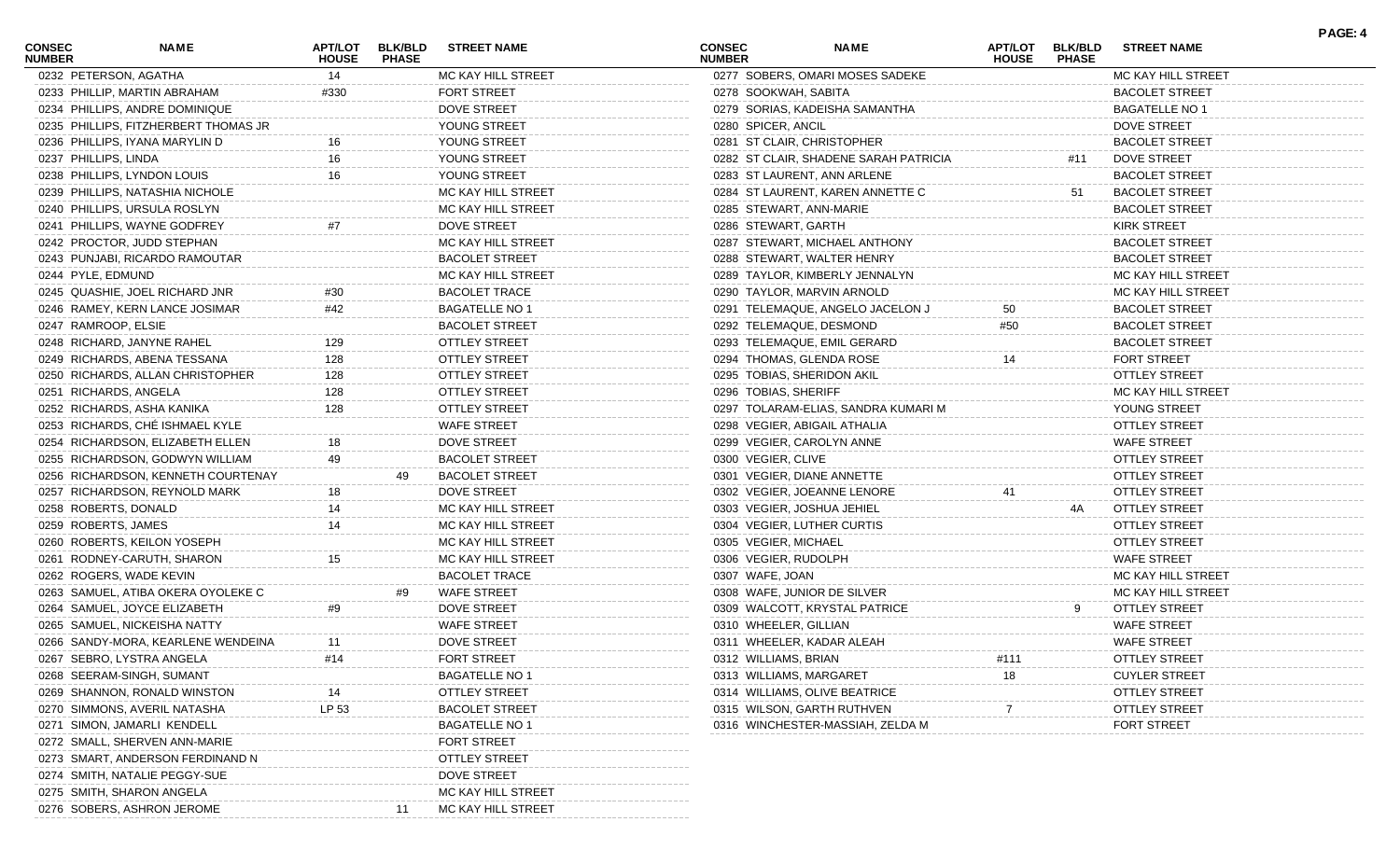| CONSEC<br><b>NUMBER</b> | NAME                                 | <b>HOUSE</b> | APT/LOT BLK/BLD<br><b>PHASE</b> | <b>STREET NAME</b>    | <b>CONSEC</b><br><b>NUMBER</b> |                       | NAME                                  | APT/LOT BLK/BLD<br><b>HOUSE</b> | <b>PHASE</b> | <b>STREET NAME</b>    |  |
|-------------------------|--------------------------------------|--------------|---------------------------------|-----------------------|--------------------------------|-----------------------|---------------------------------------|---------------------------------|--------------|-----------------------|--|
|                         | 0232 PETERSON, AGATHA                | 14           |                                 | MC KAY HILL STREET    |                                |                       | 0277 SOBERS, OMARI MOSES SADEKE       |                                 |              | MC KAY HILL STREET    |  |
|                         | 0233 PHILLIP, MARTIN ABRAHAM         | #330         |                                 | FORT STREET           |                                | 0278 SOOKWAH, SABITA  |                                       |                                 |              | <b>BACOLET STREET</b> |  |
|                         | 0234 PHILLIPS, ANDRE DOMINIQUE       |              |                                 | DOVE STREET           |                                |                       | 0279 SORIAS, KADEISHA SAMANTHA        |                                 |              | <b>BAGATELLE NO 1</b> |  |
|                         | 0235 PHILLIPS, FITZHERBERT THOMAS JR |              |                                 | YOUNG STREET          |                                | 0280 SPICER, ANCIL    |                                       |                                 |              | <b>DOVE STREET</b>    |  |
|                         | 0236 PHILLIPS, IYANA MARYLIN D       |              |                                 | YOUNG STREET          |                                |                       | 0281 ST CLAIR, CHRISTOPHER            |                                 |              | <b>BACOLET STREET</b> |  |
|                         | 0237 PHILLIPS, LINDA                 | 16           |                                 | YOUNG STREET          |                                |                       | 0282 ST CLAIR, SHADENE SARAH PATRICIA |                                 | #11          | DOVE STREET           |  |
|                         | 0238 PHILLIPS, LYNDON LOUIS          | 16           |                                 | YOUNG STREET          |                                |                       | 0283 ST LAURENT, ANN ARLENE           |                                 |              | <b>BACOLET STREET</b> |  |
|                         | 0239 PHILLIPS, NATASHIA NICHOLE      |              |                                 | MC KAY HILL STREET    |                                |                       | 0284 ST LAURENT, KAREN ANNETTE C      |                                 | 51           | <b>BACOLET STREET</b> |  |
|                         | 0240 PHILLIPS, URSULA ROSLYN         |              |                                 | MC KAY HILL STREET    |                                |                       | 0285 STEWART, ANN-MARIE               |                                 |              | <b>BACOLET STREET</b> |  |
|                         | 0241 PHILLIPS, WAYNE GODFREY         | #7           |                                 | DOVE STREET           |                                | 0286 STEWART, GARTH   |                                       |                                 |              | <b>KIRK STREET</b>    |  |
|                         | 0242 PROCTOR, JUDD STEPHAN           |              |                                 | MC KAY HILL STREET    |                                |                       | 0287 STEWART, MICHAEL ANTHONY         |                                 |              | <b>BACOLET STREET</b> |  |
|                         | 0243 PUNJABI, RICARDO RAMOUTAR       |              |                                 | <b>BACOLET STREET</b> |                                |                       | 0288 STEWART, WALTER HENRY            |                                 |              | <b>BACOLET STREET</b> |  |
|                         | 0244 PYLE, EDMUND                    |              |                                 | MC KAY HILL STREET    |                                |                       | 0289 TAYLOR, KIMBERLY JENNALYN        |                                 |              | MC KAY HILL STREET    |  |
|                         | 0245 QUASHIE, JOEL RICHARD JNR       | #30          |                                 | <b>BACOLET TRACE</b>  |                                |                       | 0290 TAYLOR, MARVIN ARNOLD            |                                 |              | MC KAY HILL STREET    |  |
|                         | 0246 RAMEY, KERN LANCE JOSIMAR       | #42          |                                 | <b>BAGATELLE NO 1</b> |                                |                       | 0291 TELEMAQUE, ANGELO JACELON J      | 50                              |              | <b>BACOLET STREET</b> |  |
|                         | 0247 RAMROOP, ELSIE                  |              |                                 | <b>BACOLET STREET</b> |                                |                       | 0292 TELEMAQUE, DESMOND               | #50                             |              | <b>BACOLET STREET</b> |  |
|                         | 0248 RICHARD, JANYNE RAHEL           | 129          |                                 | <b>OTTLEY STREET</b>  |                                |                       | 0293 TELEMAQUE, EMIL GERARD           |                                 |              | <b>BACOLET STREET</b> |  |
|                         | 0249 RICHARDS, ABENA TESSANA         | 128          |                                 | <b>OTTLEY STREET</b>  |                                |                       | 0294 THOMAS, GLENDA ROSE              | 14                              |              | <b>FORT STREET</b>    |  |
|                         | 0250 RICHARDS, ALLAN CHRISTOPHER     | 128          |                                 | <b>OTTLEY STREET</b>  |                                |                       | 0295 TOBIAS, SHERIDON AKIL            |                                 |              | <b>OTTLEY STREET</b>  |  |
|                         | 0251 RICHARDS, ANGELA                | 128          |                                 | <b>OTTLEY STREET</b>  |                                | 0296 TOBIAS, SHERIFF  |                                       |                                 |              | MC KAY HILL STREET    |  |
|                         | 0252 RICHARDS, ASHA KANIKA           | 128          |                                 | OTTLEY STREET         |                                |                       | 0297 TOLARAM-ELIAS, SANDRA KUMARI M   |                                 |              | YOUNG STREET          |  |
|                         | 0253 RICHARDS, CHÉ ISHMAEL KYLE      |              |                                 | <b>WAFE STREET</b>    |                                |                       | 0298 VEGIER, ABIGAIL ATHALIA          |                                 |              | <b>OTTLEY STREET</b>  |  |
|                         | 0254 RICHARDSON, ELIZABETH ELLEN     | 18           |                                 | DOVE STREET           |                                |                       | 0299 VEGIER, CAROLYN ANNE             |                                 |              | <b>WAFE STREET</b>    |  |
|                         | 0255 RICHARDSON, GODWYN WILLIAM      |              |                                 | <b>BACOLET STREET</b> |                                | 0300 VEGIER, CLIVE    |                                       |                                 |              | <b>OTTLEY STREET</b>  |  |
|                         | 0256 RICHARDSON, KENNETH COURTENAY   |              | 49                              | <b>BACOLET STREET</b> |                                |                       | 0301 VEGIER, DIANE ANNETTE            |                                 |              | <b>OTTLEY STREET</b>  |  |
|                         | 0257 RICHARDSON, REYNOLD MARK        |              |                                 | DOVE STREET           |                                |                       | 0302 VEGIER, JOEANNE LENORE           |                                 |              | <b>OTTLEY STREET</b>  |  |
|                         | 0258 ROBERTS, DONALD                 | 14           |                                 | MC KAY HILL STREET    |                                |                       | 0303 VEGIER, JOSHUA JEHIEL            |                                 | 4A           | OTTLEY STREET         |  |
|                         | 0259 ROBERTS, JAMES                  | 14           |                                 | MC KAY HILL STREET    |                                |                       | 0304 VEGIER, LUTHER CURTIS            |                                 |              | OTTLEY STREET         |  |
|                         | 0260 ROBERTS, KEILON YOSEPH          |              |                                 | MC KAY HILL STREET    |                                | 0305 VEGIER, MICHAEL  |                                       |                                 |              | <b>OTTLEY STREET</b>  |  |
|                         | 0261 RODNEY-CARUTH, SHARON           | 15           |                                 | MC KAY HILL STREET    |                                | 0306 VEGIER, RUDOLPH  |                                       |                                 |              | <b>WAFE STREET</b>    |  |
|                         | 0262 ROGERS, WADE KEVIN              |              |                                 | <b>BACOLET TRACE</b>  |                                | 0307 WAFE, JOAN       |                                       |                                 |              | MC KAY HILL STREET    |  |
|                         | 0263 SAMUEL, ATIBA OKERA OYOLEKE C   |              |                                 | <b>WAFE STREET</b>    |                                |                       | 0308 WAFE, JUNIOR DE SILVER           |                                 |              | MC KAY HILL STREET    |  |
|                         | 0264 SAMUEL, JOYCE ELIZABETH         | #9           |                                 | DOVE STREET           |                                |                       | 0309 WALCOTT, KRYSTAL PATRICE         |                                 | 9            | OTTLEY STREET         |  |
|                         | 0265 SAMUEL, NICKEISHA NATTY         |              |                                 | <b>WAFE STREET</b>    |                                | 0310 WHEELER, GILLIAN |                                       |                                 |              | <b>WAFE STREET</b>    |  |
|                         | 0266 SANDY-MORA, KEARLENE WENDEINA   | 11           |                                 | <b>DOVE STREET</b>    |                                |                       | 0311 WHEELER, KADAR ALEAH             |                                 |              | <b>WAFE STREET</b>    |  |
|                         | 0267 SEBRO, LYSTRA ANGELA            | #14          |                                 | FORT STREET           |                                | 0312 WILLIAMS, BRIAN  |                                       | #111                            |              | <b>OTTLEY STREET</b>  |  |
|                         | 0268 SEERAM-SINGH, SUMANT            |              |                                 | <b>BAGATELLE NO 1</b> |                                |                       | 0313 WILLIAMS, MARGARET               | 18                              |              | <b>CUYLER STREET</b>  |  |
|                         | 0269 SHANNON, RONALD WINSTON         |              |                                 | OTTLEY STREET         |                                |                       | 0314 WILLIAMS, OLIVE BEATRICE         |                                 |              | <b>OTTLEY STREET</b>  |  |
|                         | 0270 SIMMONS, AVERIL NATASHA         | LP 53        |                                 | <b>BACOLET STREET</b> |                                |                       | 0315 WILSON, GARTH RUTHVEN            |                                 |              | OTTLEY STREET         |  |
|                         | 0271 SIMON, JAMARLI KENDELL          |              |                                 | <b>BAGATELLE NO 1</b> |                                |                       | 0316 WINCHESTER-MASSIAH, ZELDA M      |                                 |              | <b>FORT STREET</b>    |  |
|                         | 0272 SMALL, SHERVEN ANN-MARIE        |              |                                 | FORT STREET           |                                |                       |                                       |                                 |              |                       |  |
|                         | 0273 SMART, ANDERSON FERDINAND N     |              |                                 | <b>OTTLEY STREET</b>  |                                |                       |                                       |                                 |              |                       |  |
|                         | 0274 SMITH, NATALIE PEGGY-SUE        |              |                                 | DOVE STREET           |                                |                       |                                       |                                 |              |                       |  |
|                         | 0275 SMITH, SHARON ANGELA            |              |                                 | MC KAY HILL STREET    |                                |                       |                                       |                                 |              |                       |  |
|                         | 0276 SOBERS, ASHRON JEROME           |              |                                 | MC KAY HILL STREET    |                                |                       |                                       |                                 |              |                       |  |

**PAGE: 4**